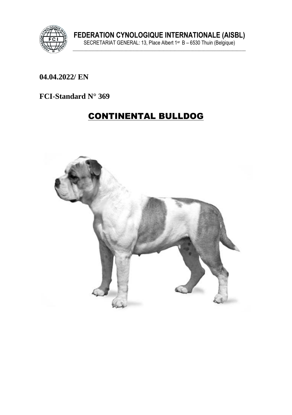

### 04.04.2022/ EN

### FCI-Standard N° 369

# **CONTINENTAL BULLDOG**

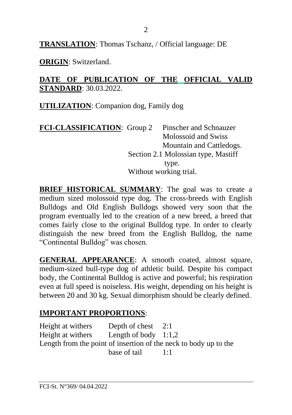**TRANSLATION**: Thomas Tschanz, / Official language: DE

**ORIGIN**: Switzerland.

### **DATE OF PUBLICATION OF THE OFFICIAL VALID STANDARD**: 30.03.2022.

**UTILIZATION**: Companion dog, Family dog

| FCI-CLASSIFICATION: Group 2 | Pinscher and Schnauzer              |
|-----------------------------|-------------------------------------|
|                             | Molossoid and Swiss                 |
|                             | Mountain and Cattledogs.            |
|                             | Section 2.1 Molossian type, Mastiff |
|                             | type.                               |
|                             | Without working trial.              |
|                             |                                     |

**BRIEF HISTORICAL SUMMARY:** The goal was to create a medium sized molossoid type dog. The cross-breeds with English Bulldogs and Old English Bulldogs showed very soon that the program eventually led to the creation of a new breed, a breed that comes fairly close to the original Bulldog type. In order to clearly distinguish the new breed from the English Bulldog, the name "Continental Bulldog" was chosen.

**GENERAL APPEARANCE**: A smooth coated, almost square, medium-sized bull-type dog of athletic build. Despite his compact body, the Continental Bulldog is active and powerful; his respiration even at full speed is noiseless. His weight, depending on his height is between 20 and 30 kg. Sexual dimorphism should be clearly defined.

## **IMPORTANT PROPORTIONS**:

Height at withers Depth of chest 2:1 Height at withers Length of body 1:1.2 Length from the point of insertion of the neck to body up to the base of tail  $1:1$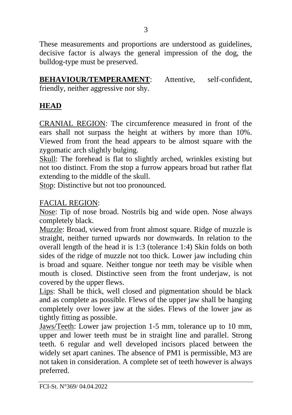These measurements and proportions are understood as guidelines, decisive factor is always the general impression of the dog, the bulldog-type must be preserved.

**BEHAVIOUR/TEMPERAMENT**: Attentive, self-confident,

friendly, neither aggressive nor shy.

### **HEAD**

CRANIAL REGION: The circumference measured in front of the ears shall not surpass the height at withers by more than 10%. Viewed from front the head appears to be almost square with the zygomatic arch slightly bulging.

Skull: The forehead is flat to slightly arched, wrinkles existing but not too distinct. From the stop a furrow appears broad but rather flat extending to the middle of the skull.

Stop: Distinctive but not too pronounced.

#### FACIAL REGION:

Nose: Tip of nose broad. Nostrils big and wide open. Nose always completely black.

Muzzle: Broad, viewed from front almost square. Ridge of muzzle is straight, neither turned upwards nor downwards. In relation to the overall length of the head it is 1:3 (tolerance 1:4) Skin folds on both sides of the ridge of muzzle not too thick. Lower jaw including chin is broad and square. Neither tongue nor teeth may be visible when mouth is closed. Distinctive seen from the front underjaw, is not covered by the upper flews.

Lips: Shall be thick, well closed and pigmentation should be black and as complete as possible. Flews of the upper jaw shall be hanging completely over lower jaw at the sides. Flews of the lower jaw as tightly fitting as possible.

Jaws/Teeth: Lower jaw projection 1-5 mm, tolerance up to 10 mm, upper and lower teeth must be in straight line and parallel. Strong teeth. 6 regular and well developed incisors placed between the widely set apart canines. The absence of PM1 is permissible, M3 are not taken in consideration. A complete set of teeth however is always preferred.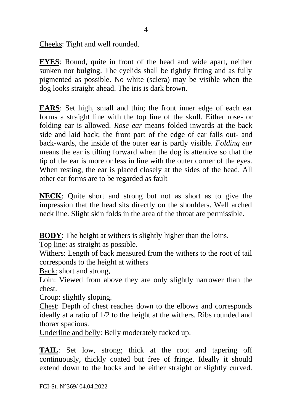Cheeks: Tight and well rounded.

**EYES**: Round, quite in front of the head and wide apart, neither sunken nor bulging. The eyelids shall be tightly fitting and as fully pigmented as possible. No white (sclera) may be visible when the dog looks straight ahead. The iris is dark brown.

**EARS**: Set high, small and thin; the front inner edge of each ear forms a straight line with the top line of the skull. Either rose- or folding ear is allowed. *Rose ear* means folded inwards at the back side and laid back; the front part of the edge of ear falls out- and back-wards, the inside of the outer ear is partly visible. *Folding ear*  means the ear is tilting forward when the dog is attentive so that the tip of the ear is more or less in line with the outer corner of the eyes. When resting, the ear is placed closely at the sides of the head. All other ear forms are to be regarded as fault

**NECK**: Quite **s**hort and strong but not as short as to give the impression that the head sits directly on the shoulders. Well arched neck line. Slight skin folds in the area of the throat are permissible.

**BODY**: The height at withers is slightly higher than the loins.

Top line: as straight as possible.

Withers: Length of back measured from the withers to the root of tail corresponds to the height at withers

Back: short and strong,

Loin: Viewed from above they are only slightly narrower than the chest.

Croup: slightly sloping.

Chest: Depth of chest reaches down to the elbows and corresponds ideally at a ratio of 1/2 to the height at the withers. Ribs rounded and thorax spacious.

Underline and belly: Belly moderately tucked up.

**TAIL**: Set low, strong; thick at the root and tapering off continuously, thickly coated but free of fringe. Ideally it should extend down to the hocks and be either straight or slightly curved.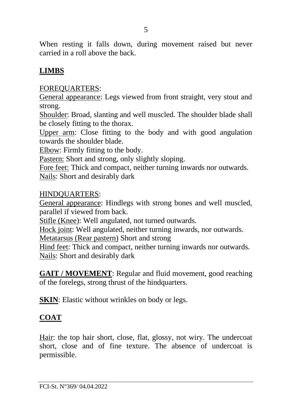When resting it falls down, during movement raised but never carried in a roll above the back.

### **LIMBS**

#### FOREQUARTERS:

General appearance: Legs viewed from front straight, very stout and strong.

Shoulder: Broad, slanting and well muscled. The shoulder blade shall be closely fitting to the thorax.

Upper arm: Close fitting to the body and with good angulation towards the shoulder blade.

Elbow: Firmly fitting to the body.

Pastern: Short and strong, only slightly sloping.

Fore feet: Thick and compact, neither turning inwards nor outwards. Nails: Short and desirably dark

#### HINDQUARTERS:

General appearance: Hindlegs with strong bones and well muscled, parallel if viewed from back.

Stifle (Knee): Well angulated, not turned outwards.

Hock joint: Well angulated, neither turning inwards, nor outwards.

Metatarsus (Rear pastern) Short and strong

Hind feet: Thick and compact, neither turning inwards nor outwards. Nails: Short and desirably dark

**GAIT / MOVEMENT**: Regular and fluid movement, good reaching of the forelegs, strong thrust of the hindquarters.

**SKIN**: Elastic without wrinkles on body or legs.

### **COAT**

Hair: the top hair short, close, flat, glossy, not wiry. The undercoat short, close and of fine texture. The absence of undercoat is permissible.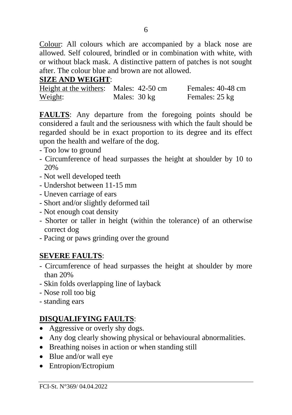Colour: All colours which are accompanied by a black nose are allowed. Self coloured, brindled or in combination with white, with or without black mask. A distinctive pattern of patches is not sought after. The colour blue and brown are not allowed.

### **SIZE AND WEIGHT**:

| Height at the withers: Males: 42-50 cm |              | Females: 40-48 cm |
|----------------------------------------|--------------|-------------------|
| Weight:                                | Males: 30 kg | Females: 25 kg    |

**FAULTS**: Any departure from the foregoing points should be considered a fault and the seriousness with which the fault should be regarded should be in exact proportion to its degree and its effect upon the health and welfare of the dog.

- Too low to ground
- Circumference of head surpasses the height at shoulder by 10 to 20%
- Not well developed teeth
- Undershot between 11-15 mm
- Uneven carriage of ears
- Short and/or slightly deformed tail
- Not enough coat density
- Shorter or taller in height (within the tolerance) of an otherwise correct dog
- Pacing or paws grinding over the ground

### **SEVERE FAULTS**:

- Circumference of head surpasses the height at shoulder by more than 20%
- Skin folds overlapping line of layback
- Nose roll too big
- standing ears

### **DISQUALIFYING FAULTS**:

- Aggressive or overly shy dogs.
- Any dog clearly showing physical or behavioural abnormalities.
- Breathing noises in action or when standing still
- Blue and/or wall eye
- Entropion/Ectropium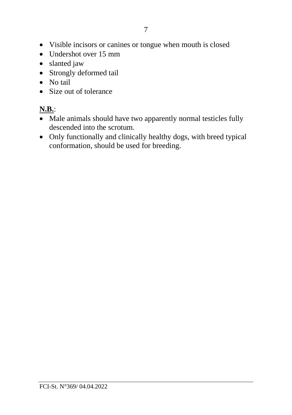- Visible incisors or canines or tongue when mouth is closed
- Undershot over 15 mm
- slanted jaw
- Strongly deformed tail
- No tail
- Size out of tolerance

# **N.B.**:

- Male animals should have two apparently normal testicles fully descended into the scrotum.
- Only functionally and clinically healthy dogs, with breed typical conformation, should be used for breeding.